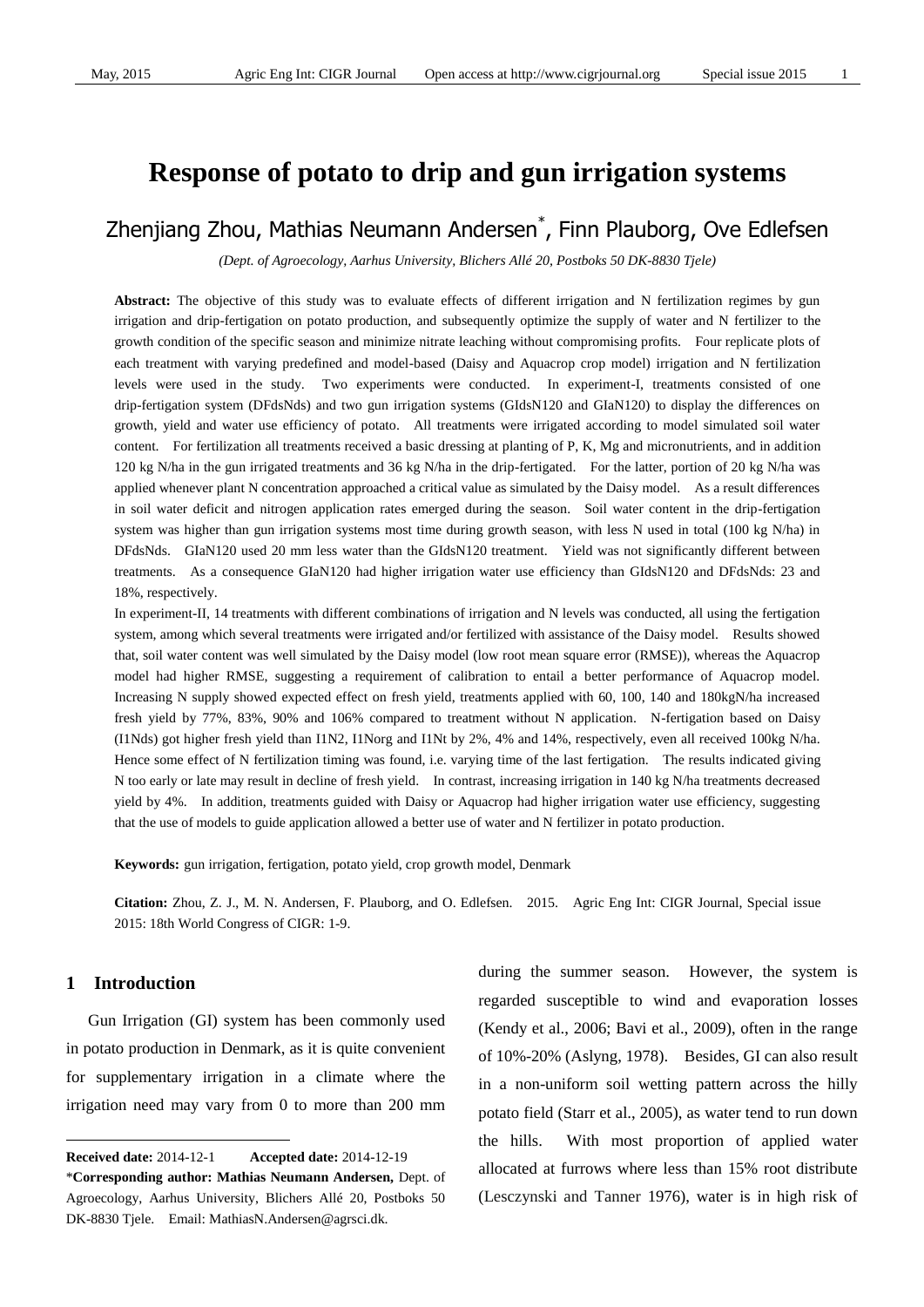# **Response of potato to drip and gun irrigation systems**

# Zhenjiang Zhou, Mathias Neumann Andersen\* , Finn Plauborg, Ove Edlefsen

*(Dept. of Agroecology, Aarhus University, Blichers Allé20, Postboks 50 DK-8830 Tjele)*

**Abstract:** The objective of this study was to evaluate effects of different irrigation and N fertilization regimes by gun irrigation and drip-fertigation on potato production, and subsequently optimize the supply of water and N fertilizer to the growth condition of the specific season and minimize nitrate leaching without compromising profits. Four replicate plots of each treatment with varying predefined and model-based (Daisy and Aquacrop crop model) irrigation and N fertilization levels were used in the study. Two experiments were conducted. In experiment-I, treatments consisted of one drip-fertigation system (DFdsNds) and two gun irrigation systems (GIdsN120 and GIaN120) to display the differences on growth, yield and water use efficiency of potato. All treatments were irrigated according to model simulated soil water content. For fertilization all treatments received a basic dressing at planting of P, K, Mg and micronutrients, and in addition 120 kg N/ha in the gun irrigated treatments and 36 kg N/ha in the drip-fertigated. For the latter, portion of 20 kg N/ha was applied whenever plant N concentration approached a critical value as simulated by the Daisy model. As a result differences in soil water deficit and nitrogen application rates emerged during the season. Soil water content in the drip-fertigation system was higher than gun irrigation systems most time during growth season, with less N used in total (100 kg N/ha) in DFdsNds. GIaN120 used 20 mm less water than the GIdsN120 treatment. Yield was not significantly different between treatments. As a consequence GIaN120 had higher irrigation water use efficiency than GIdsN120 and DFdsNds: 23 and 18%, respectively.

In experiment-II, 14 treatments with different combinations of irrigation and N levels was conducted, all using the fertigation system, among which several treatments were irrigated and/or fertilized with assistance of the Daisy model. Results showed that, soil water content was well simulated by the Daisy model (low root mean square error (RMSE)), whereas the Aquacrop model had higher RMSE, suggesting a requirement of calibration to entail a better performance of Aquacrop model. Increasing N supply showed expected effect on fresh yield, treatments applied with 60, 100, 140 and 180kgN/ha increased fresh yield by 77%, 83%, 90% and 106% compared to treatment without N application. N-fertigation based on Daisy (I1Nds) got higher fresh yield than I1N2, I1Norg and I1Nt by 2%, 4% and 14%, respectively, even all received 100kg N/ha. Hence some effect of N fertilization timing was found, i.e. varying time of the last fertigation. The results indicated giving N too early or late may result in decline of fresh yield. In contrast, increasing irrigation in 140 kg N/ha treatments decreased yield by 4%. In addition, treatments guided with Daisy or Aquacrop had higher irrigation water use efficiency, suggesting that the use of models to guide application allowed a better use of water and N fertilizer in potato production.

**Keywords:** gun irrigation, fertigation, potato yield, crop growth model, Denmark

**Citation:** Zhou, Z. J., M. N. Andersen, F. Plauborg, and O. Edlefsen. 2015. Agric Eng Int: CIGR Journal, Special issue 2015: 18th World Congress of CIGR: 1-9.

## **1 Introduction1**

 $\overline{a}$ 

Gun Irrigation (GI) system has been commonly used in potato production in Denmark, as it is quite convenient for supplementary irrigation in a climate where the irrigation need may vary from 0 to more than 200 mm during the summer season. However, the system is regarded susceptible to wind and evaporation losses (Kendy et al., 2006; Bavi et al., 2009), often in the range of 10%-20% (Aslyng, 1978). Besides, GI can also result in a non-uniform soil wetting pattern across the hilly potato field (Starr et al., 2005), as water tend to run down the hills. With most proportion of applied water allocated at furrows where less than 15% root distribute (Lesczynski and Tanner 1976), water is in high risk of

**Received date:** 2014-12-1 **Accepted date:** 2014-12-19

<sup>\*</sup>**Corresponding author: Mathias Neumann Andersen,** Dept. of Agroecology, Aarhus University, Blichers Allé 20, Postboks 50 DK-8830 Tjele. Email: MathiasN.Andersen@agrsci.dk.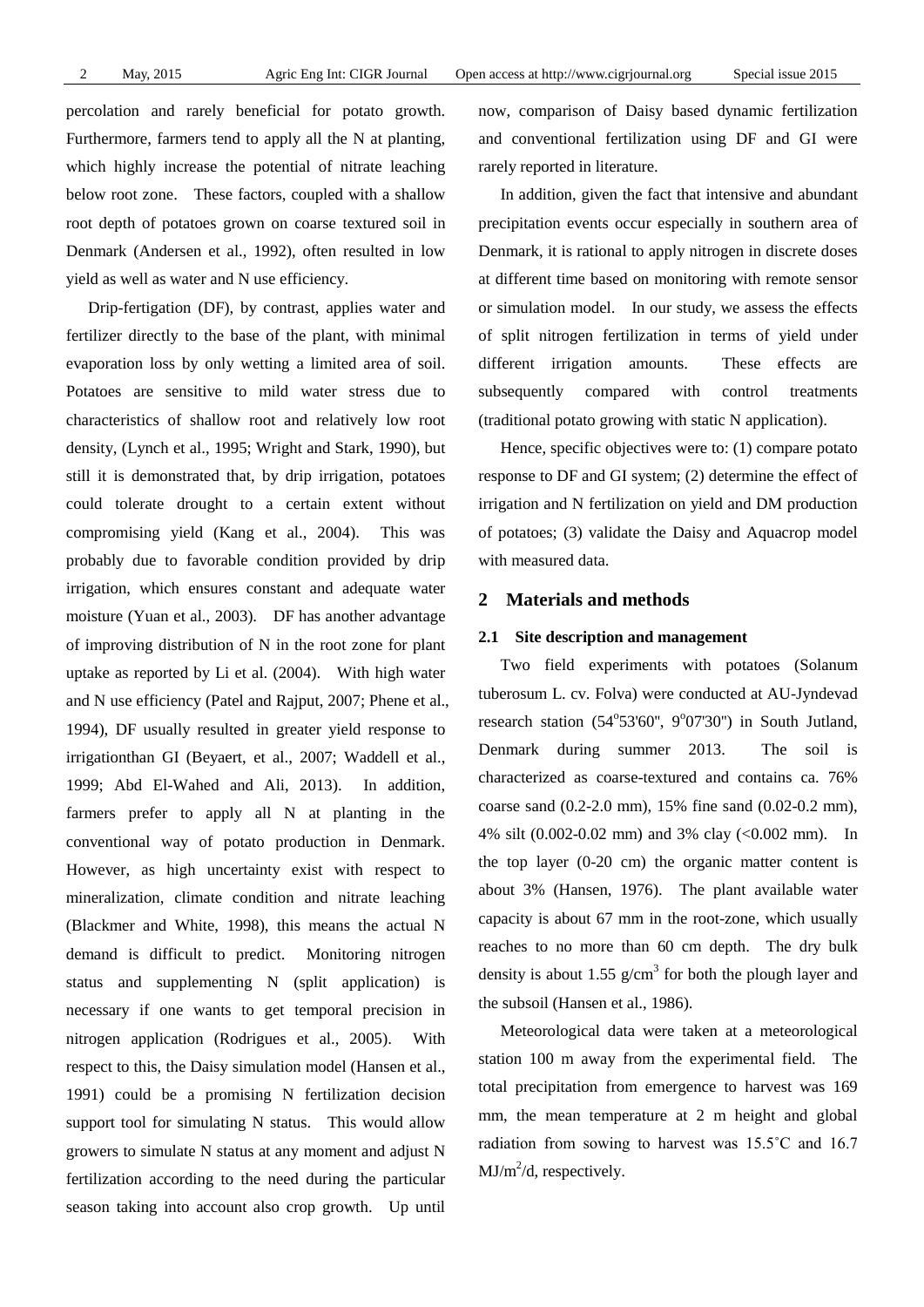percolation and rarely beneficial for potato growth. Furthermore, farmers tend to apply all the N at planting, which highly increase the potential of nitrate leaching below root zone. These factors, coupled with a shallow root depth of potatoes grown on coarse textured soil in Denmark (Andersen et al., 1992), often resulted in low yield as well as water and N use efficiency.

Drip-fertigation (DF), by contrast, applies water and fertilizer directly to the base of the plant, with minimal evaporation loss by only wetting a limited area of soil. Potatoes are sensitive to mild water stress due to characteristics of shallow root and relatively low root density, (Lynch et al., 1995; Wright and Stark, 1990), but still it is demonstrated that, by drip irrigation, potatoes could tolerate drought to a certain extent without compromising yield (Kang et al., 2004). This was probably due to favorable condition provided by drip irrigation, which ensures constant and adequate water moisture (Yuan et al., 2003). DF has another advantage of improving distribution of N in the root zone for plant uptake as reported by Li et al. (2004). With high water and N use efficiency (Patel and Rajput, 2007; Phene et al., 1994), DF usually resulted in greater yield response to irrigationthan GI (Beyaert, et al., 2007; Waddell et al., 1999; Abd El-Wahed and Ali, 2013). In addition, farmers prefer to apply all N at planting in the conventional way of potato production in Denmark. However, as high uncertainty exist with respect to mineralization, climate condition and nitrate leaching (Blackmer and White, 1998), this means the actual N demand is difficult to predict. Monitoring nitrogen status and supplementing N (split application) is necessary if one wants to get temporal precision in nitrogen application (Rodrigues et al., 2005). With respect to this, the Daisy simulation model (Hansen et al., 1991) could be a promising N fertilization decision support tool for simulating N status. This would allow growers to simulate N status at any moment and adjust N fertilization according to the need during the particular season taking into account also crop growth. Up until

now, comparison of Daisy based dynamic fertilization and conventional fertilization using DF and GI were rarely reported in literature.

In addition, given the fact that intensive and abundant precipitation events occur especially in southern area of Denmark, it is rational to apply nitrogen in discrete doses at different time based on monitoring with remote sensor or simulation model. In our study, we assess the effects of split nitrogen fertilization in terms of yield under different irrigation amounts. These effects are subsequently compared with control treatments (traditional potato growing with static N application).

Hence, specific objectives were to: (1) compare potato response to DF and GI system; (2) determine the effect of irrigation and N fertilization on yield and DM production of potatoes; (3) validate the Daisy and Aquacrop model with measured data.

### **2 Materials and methods**

## **2.1 Site description and management**

Two field experiments with potatoes (Solanum tuberosum L. cv. Folva) were conducted at AU-Jyndevad research station  $(54^{\circ}53'60'$ ,  $9^{\circ}07'30'$ ) in South Jutland, Denmark during summer 2013. The soil is characterized as coarse-textured and contains ca. 76% coarse sand (0.2-2.0 mm), 15% fine sand (0.02-0.2 mm), 4% silt (0.002-0.02 mm) and 3% clay (<0.002 mm). In the top layer (0-20 cm) the organic matter content is about 3% (Hansen, 1976). The plant available water capacity is about 67 mm in the root-zone, which usually reaches to no more than 60 cm depth. The dry bulk density is about 1.55  $g/cm<sup>3</sup>$  for both the plough layer and the subsoil (Hansen et al., 1986).

Meteorological data were taken at a meteorological station 100 m away from the experimental field. The total precipitation from emergence to harvest was 169 mm, the mean temperature at 2 m height and global radiation from sowing to harvest was 15.5˚C and 16.7  $MJ/m^2/d$ , respectively.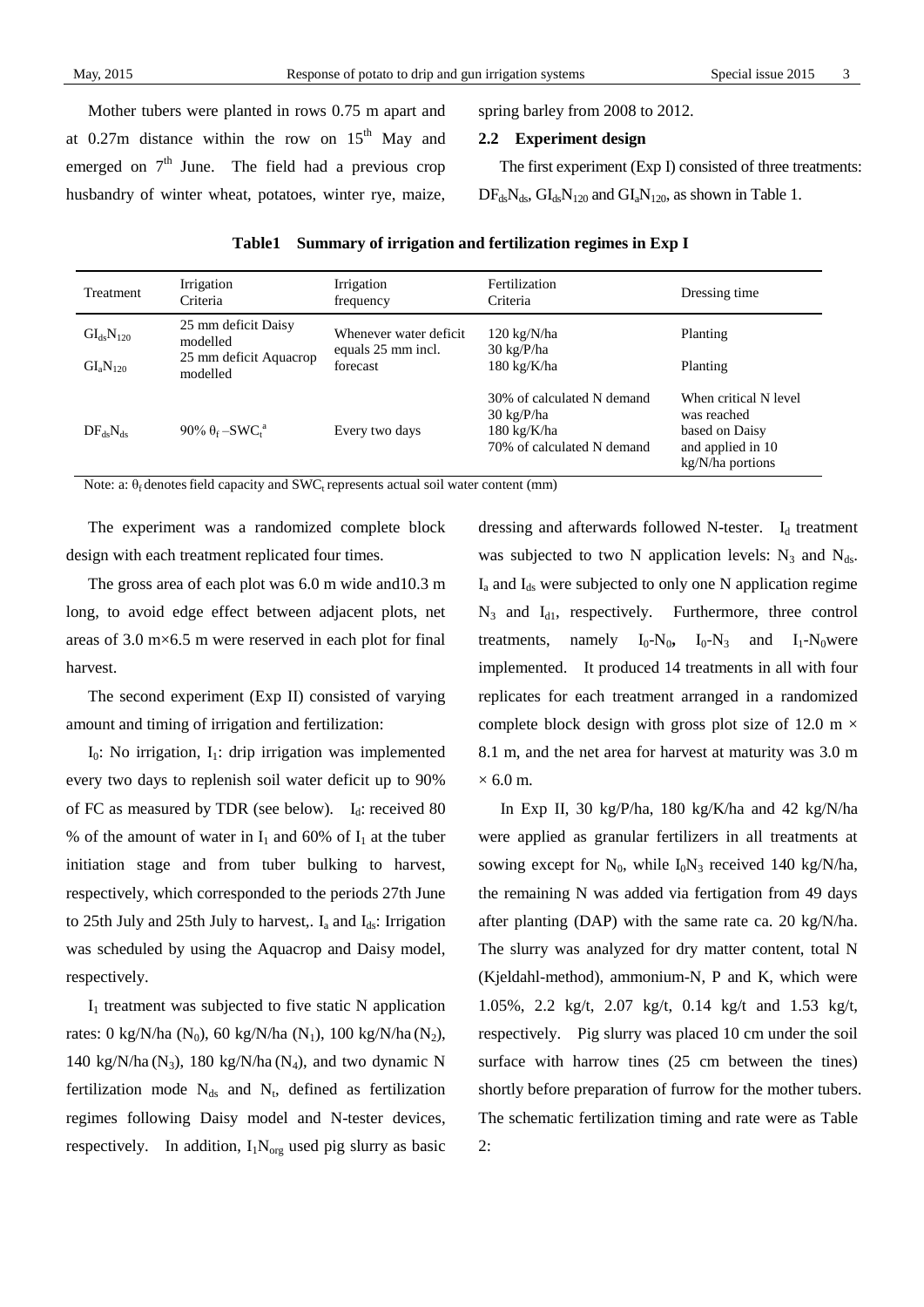Mother tubers were planted in rows 0.75 m apart and at  $0.27$ m distance within the row on  $15<sup>th</sup>$  May and emerged on  $7<sup>th</sup>$  June. The field had a previous crop husbandry of winter wheat, potatoes, winter rye, maize, spring barley from 2008 to 2012.

#### **2.2 Experiment design**

The first experiment (Exp I) consisted of three treatments:  $DF_{ds}N_{ds}$ ,  $GI_{ds}N_{120}$  and  $GI_aN_{120}$ , as shown in Table 1.

| <b>Treatment</b>                                   | Irrigation<br>Criteria                                                | Irrigation<br>frequency                                   | Fertilization<br>Criteria                                                                                        | Dressing time                                                                                   |
|----------------------------------------------------|-----------------------------------------------------------------------|-----------------------------------------------------------|------------------------------------------------------------------------------------------------------------------|-------------------------------------------------------------------------------------------------|
| GI <sub>ds</sub> N <sub>120</sub><br>$GI_aN_{120}$ | 25 mm deficit Daisy<br>modelled<br>25 mm deficit Aquacrop<br>modelled | Whenever water deficit.<br>equals 25 mm incl.<br>forecast | $120 \text{ kg/N/ha}$<br>$30 \text{ kg}/\text{P/ha}$<br>$180 \text{ kg/K/ha}$                                    | Planting<br>Planting                                                                            |
| $DF_{ds}N_{ds}$                                    | $90\% \theta_f - SWC_t^a$                                             | Every two days                                            | 30% of calculated N demand<br>$30 \text{ kg}/\text{P/ha}$<br>$180 \text{ kg/K/ha}$<br>70% of calculated N demand | When critical N level<br>was reached<br>based on Daisy<br>and applied in 10<br>kg/N/ha portions |

|  | Table1 Summary of irrigation and fertilization regimes in Exp I |  |
|--|-----------------------------------------------------------------|--|
|  |                                                                 |  |

Note: a:  $\theta_f$  denotes field capacity and SWC<sub>t</sub> represents actual soil water content (mm)

The experiment was a randomized complete block design with each treatment replicated four times.

The gross area of each plot was 6.0 m wide and10.3 m long, to avoid edge effect between adjacent plots, net areas of 3.0 m×6.5 m were reserved in each plot for final harvest.

The second experiment (Exp II) consisted of varying amount and timing of irrigation and fertilization:

 $I_0$ : No irrigation,  $I_1$ : drip irrigation was implemented every two days to replenish soil water deficit up to 90% of FC as measured by TDR (see below).  $I_d$ : received 80 % of the amount of water in  $I_1$  and 60% of  $I_1$  at the tuber initiation stage and from tuber bulking to harvest, respectively, which corresponded to the periods 27th June to 25th July and 25th July to harvest,.  $I_a$  and  $I_{ds}$ : Irrigation was scheduled by using the Aquacrop and Daisy model, respectively.

 $I_1$  treatment was subjected to five static N application rates: 0 kg/N/ha (N<sub>0</sub>), 60 kg/N/ha (N<sub>1</sub>), 100 kg/N/ha (N<sub>2</sub>), 140 kg/N/ha (N<sub>3</sub>), 180 kg/N/ha (N<sub>4</sub>), and two dynamic N fertilization mode  $N_{ds}$  and  $N_t$ , defined as fertilization regimes following Daisy model and N-tester devices, respectively. In addition,  $I_1N_{\text{org}}$  used pig slurry as basic

dressing and afterwards followed N-tester. I<sub>d</sub> treatment was subjected to two N application levels:  $N_3$  and  $N_{ds}$ .  $I_a$  and  $I_{ds}$  were subjected to only one N application regime  $N_3$  and  $I_{d1}$ , respectively. Furthermore, three control treatments, namely  $I_0-N_0$ ,  $I_0-N_3$  and  $I_1-N_0$  were implemented. It produced 14 treatments in all with four replicates for each treatment arranged in a randomized complete block design with gross plot size of 12.0 m  $\times$ 8.1 m, and the net area for harvest at maturity was 3.0 m  $\times$  6.0 m.

In Exp II, 30 kg/P/ha, 180 kg/K/ha and 42 kg/N/ha were applied as granular fertilizers in all treatments at sowing except for  $N_0$ , while  $I_0N_3$  received 140 kg/N/ha, the remaining N was added via fertigation from 49 days after planting (DAP) with the same rate ca. 20 kg/N/ha. The slurry was analyzed for dry matter content, total N (Kjeldahl-method), ammonium-N, P and K, which were 1.05%, 2.2 kg/t, 2.07 kg/t, 0.14 kg/t and 1.53 kg/t, respectively. Pig slurry was placed 10 cm under the soil surface with harrow tines (25 cm between the tines) shortly before preparation of furrow for the mother tubers. The schematic fertilization timing and rate were as Table 2: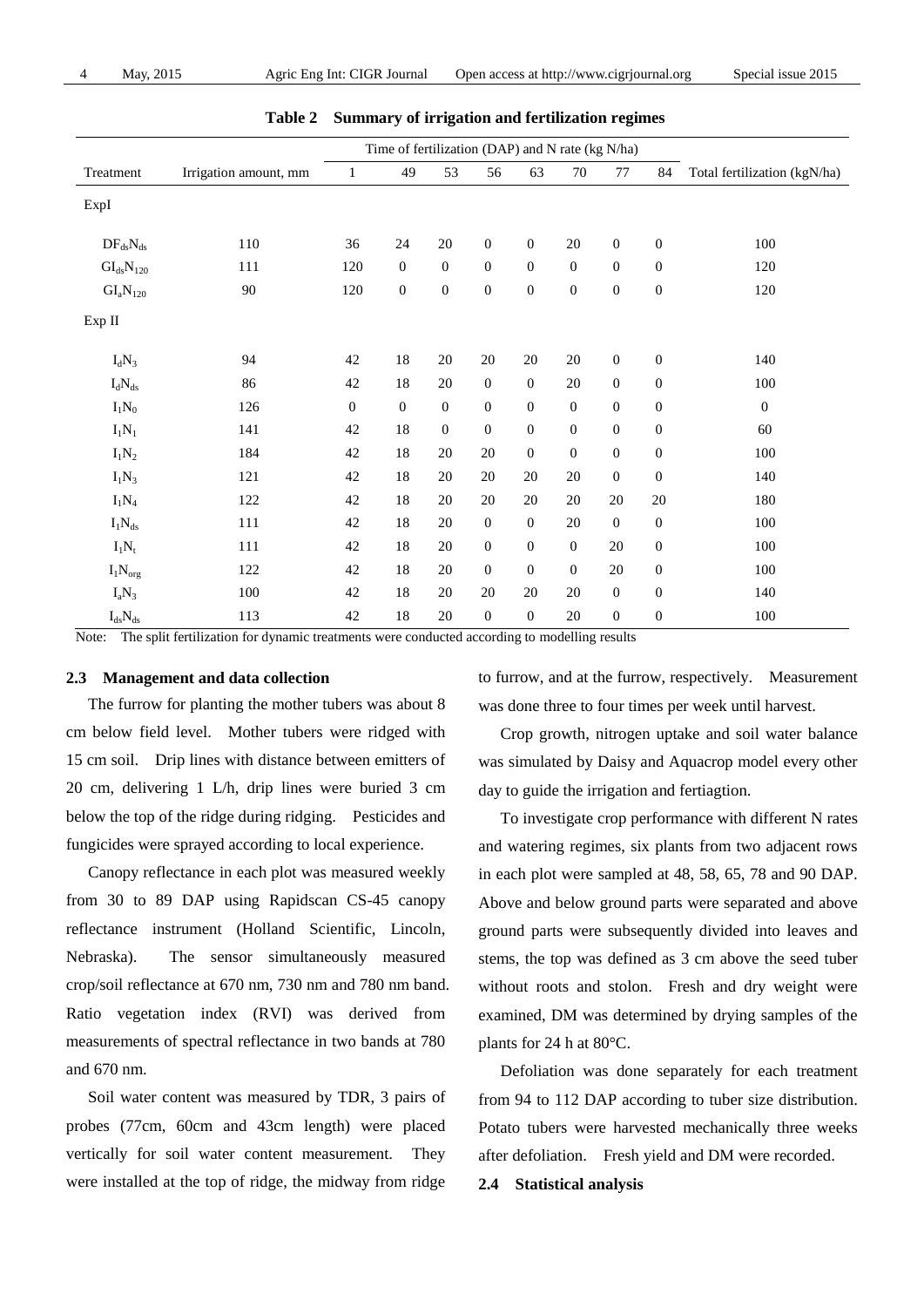|                         |                       | Time of fertilization (DAP) and N rate (kg N/ha) |                  |                  |                  |                  |                  |                  |                  |                              |
|-------------------------|-----------------------|--------------------------------------------------|------------------|------------------|------------------|------------------|------------------|------------------|------------------|------------------------------|
| Treatment               | Irrigation amount, mm | $\mathbf{1}$                                     | 49               | 53               | 56               | 63               | 70               | 77               | 84               | Total fertilization (kgN/ha) |
| ExpI                    |                       |                                                  |                  |                  |                  |                  |                  |                  |                  |                              |
| $DF_{ds}N_{ds}$         | 110                   | 36                                               | 24               | $20\,$           | $\boldsymbol{0}$ | $\boldsymbol{0}$ | $20\,$           | $\boldsymbol{0}$ | $\boldsymbol{0}$ | 100                          |
| $GI_{ds}N_{120}$        | 111                   | 120                                              | $\boldsymbol{0}$ | $\boldsymbol{0}$ | $\boldsymbol{0}$ | $\boldsymbol{0}$ | $\boldsymbol{0}$ | $\boldsymbol{0}$ | $\boldsymbol{0}$ | 120                          |
| $GI_aN_{120}$           | 90                    | 120                                              | $\boldsymbol{0}$ | $\boldsymbol{0}$ | $\boldsymbol{0}$ | $\boldsymbol{0}$ | $\boldsymbol{0}$ | $\boldsymbol{0}$ | $\boldsymbol{0}$ | 120                          |
| Exp II                  |                       |                                                  |                  |                  |                  |                  |                  |                  |                  |                              |
| $I_dN_3$                | 94                    | 42                                               | 18               | $20\,$           | $20\,$           | $20\,$           | $20\,$           | $\boldsymbol{0}$ | $\boldsymbol{0}$ | 140                          |
| $I_dN_{ds}$             | 86                    | 42                                               | 18               | $20\,$           | $\mathbf{0}$     | $\boldsymbol{0}$ | $20\,$           | $\boldsymbol{0}$ | $\boldsymbol{0}$ | 100                          |
| $I_1N_0$                | 126                   | $\boldsymbol{0}$                                 | $\boldsymbol{0}$ | $\boldsymbol{0}$ | $\mathbf{0}$     | $\boldsymbol{0}$ | $\boldsymbol{0}$ | $\boldsymbol{0}$ | $\boldsymbol{0}$ | $\boldsymbol{0}$             |
| $I_1N_1$                | 141                   | 42                                               | 18               | $\boldsymbol{0}$ | $\boldsymbol{0}$ | $\boldsymbol{0}$ | $\boldsymbol{0}$ | $\boldsymbol{0}$ | $\boldsymbol{0}$ | 60                           |
| $I_1N_2$                | 184                   | 42                                               | 18               | $20\,$           | $20\,$           | $\boldsymbol{0}$ | $\boldsymbol{0}$ | $\boldsymbol{0}$ | $\boldsymbol{0}$ | 100                          |
| $I_1N_3$                | 121                   | 42                                               | 18               | $20\,$           | 20               | 20               | 20               | $\boldsymbol{0}$ | $\boldsymbol{0}$ | 140                          |
| $I_1N_4$                | 122                   | 42                                               | 18               | $20\,$           | $20\,$           | $20\,$           | $20\,$           | 20               | $20\,$           | 180                          |
| $I_1N_{\rm ds}$         | 111                   | 42                                               | 18               | $20\,$           | $\boldsymbol{0}$ | $\boldsymbol{0}$ | $20\,$           | $\boldsymbol{0}$ | $\boldsymbol{0}$ | 100                          |
| $I_1N_t$                | 111                   | 42                                               | 18               | $20\,$           | $\mathbf{0}$     | $\boldsymbol{0}$ | $\mathbf{0}$     | 20               | $\boldsymbol{0}$ | 100                          |
| $I_1N_{org}$            | 122                   | 42                                               | 18               | 20               | $\boldsymbol{0}$ | $\boldsymbol{0}$ | $\boldsymbol{0}$ | $20\,$           | $\boldsymbol{0}$ | 100                          |
| $I_aN_3$                | 100                   | 42                                               | 18               | $20\,$           | 20               | 20               | 20               | $\boldsymbol{0}$ | $\boldsymbol{0}$ | 140                          |
| $I_{\rm ds} N_{\rm ds}$ | 113                   | 42                                               | 18               | 20               | $\boldsymbol{0}$ | $\boldsymbol{0}$ | 20               | $\boldsymbol{0}$ | $\boldsymbol{0}$ | 100                          |

#### **Table 2 Summary of irrigation and fertilization regimes**

Note: The split fertilization for dynamic treatments were conducted according to modelling results

## **2.3 Management and data collection**

The furrow for planting the mother tubers was about 8 cm below field level. Mother tubers were ridged with 15 cm soil. Drip lines with distance between emitters of 20 cm, delivering 1 L/h, drip lines were buried 3 cm below the top of the ridge during ridging. Pesticides and fungicides were sprayed according to local experience.

Canopy reflectance in each plot was measured weekly from 30 to 89 DAP using Rapidscan CS-45 canopy reflectance instrument (Holland Scientific, Lincoln, Nebraska). The sensor simultaneously measured crop/soil reflectance at 670 nm, 730 nm and 780 nm band. Ratio vegetation index (RVI) was derived from measurements of spectral reflectance in two bands at 780 and 670 nm.

Soil water content was measured by TDR, 3 pairs of probes (77cm, 60cm and 43cm length) were placed vertically for soil water content measurement. They were installed at the top of ridge, the midway from ridge

to furrow, and at the furrow, respectively. Measurement was done three to four times per week until harvest.

Crop growth, nitrogen uptake and soil water balance was simulated by Daisy and Aquacrop model every other day to guide the irrigation and fertiagtion.

To investigate crop performance with different N rates and watering regimes, six plants from two adjacent rows in each plot were sampled at 48, 58, 65, 78 and 90 DAP. Above and below ground parts were separated and above ground parts were subsequently divided into leaves and stems, the top was defined as 3 cm above the seed tuber without roots and stolon. Fresh and dry weight were examined, DM was determined by drying samples of the plants for 24 h at 80  $\mathbb{C}$ .

Defoliation was done separately for each treatment from 94 to 112 DAP according to tuber size distribution. Potato tubers were harvested mechanically three weeks after defoliation. Fresh yield and DM were recorded.

## **2.4 Statistical analysis**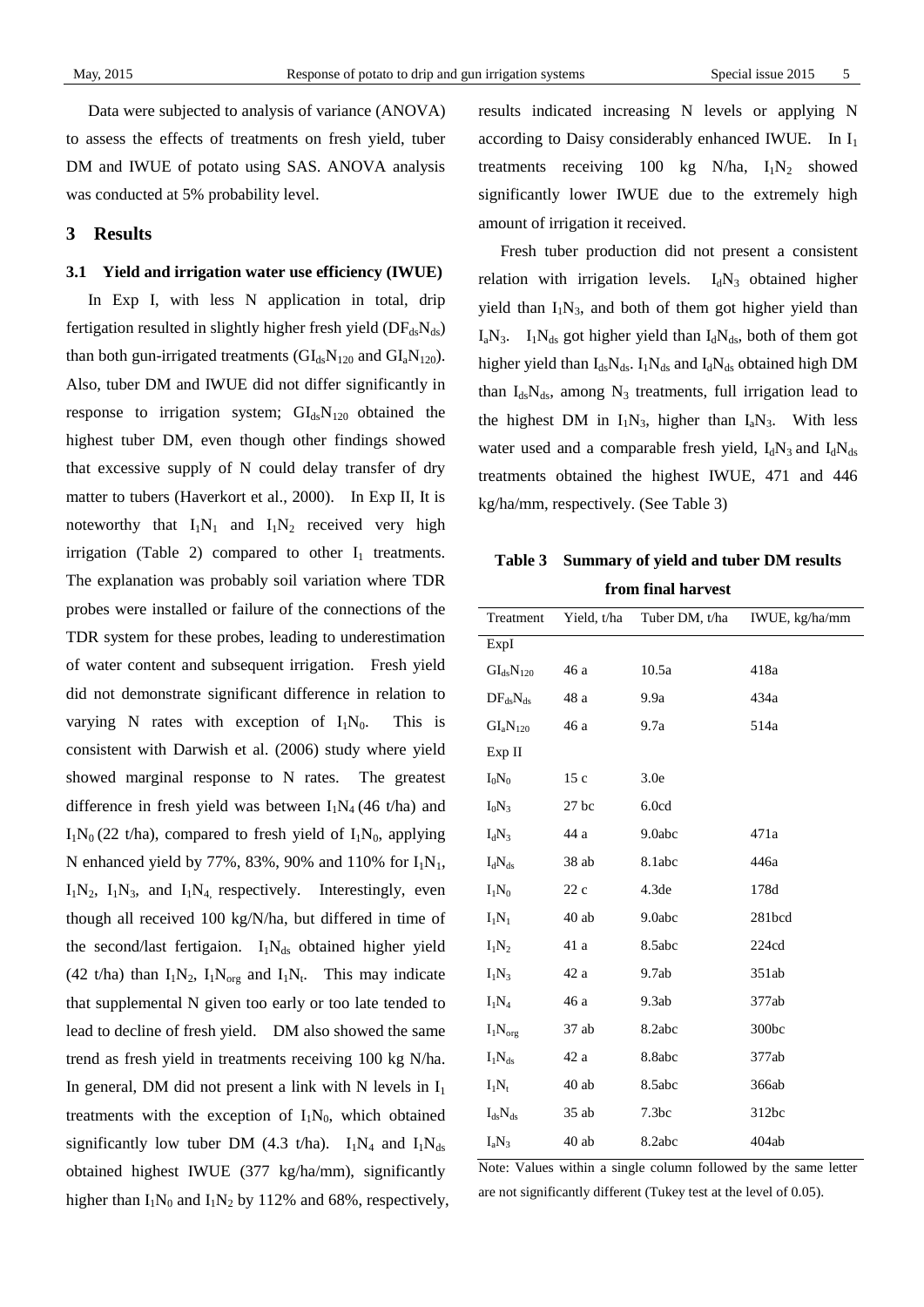Data were subjected to analysis of variance (ANOVA) to assess the effects of treatments on fresh yield, tuber DM and IWUE of potato using SAS. ANOVA analysis was conducted at 5% probability level.

## **3 Results**

### **3.1 Yield and irrigation water use efficiency (IWUE)**

In Exp I, with less N application in total, drip fertigation resulted in slightly higher fresh yield  $(DF_{ds}N_{ds})$ than both gun-irrigated treatments ( $GI_{ds}N_{120}$  and  $GI_{a}N_{120}$ ). Also, tuber DM and IWUE did not differ significantly in response to irrigation system;  $GI_{ds}N_{120}$  obtained the highest tuber DM, even though other findings showed that excessive supply of N could delay transfer of dry matter to tubers (Haverkort et al., 2000). In Exp II, It is noteworthy that  $I_1N_1$  and  $I_1N_2$  received very high irrigation (Table 2) compared to other  $I_1$  treatments. The explanation was probably soil variation where TDR probes were installed or failure of the connections of the TDR system for these probes, leading to underestimation of water content and subsequent irrigation. Fresh yield did not demonstrate significant difference in relation to varying N rates with exception of  $I_1N_0$ . This is consistent with Darwish et al. (2006) study where yield showed marginal response to N rates. The greatest difference in fresh yield was between  $I_1N_4$  (46 t/ha) and  $I_1N_0$  (22 t/ha), compared to fresh yield of  $I_1N_0$ , applying N enhanced yield by 77%, 83%, 90% and 110% for  $I_1N_1$ ,  $I_1N_2$ ,  $I_1N_3$ , and  $I_1N_4$ , respectively. Interestingly, even though all received 100 kg/N/ha, but differed in time of the second/last fertigaion.  $I_1N_{ds}$  obtained higher yield (42 t/ha) than  $I_1N_2$ ,  $I_1N_{org}$  and  $I_1N_t$ . This may indicate that supplemental N given too early or too late tended to lead to decline of fresh yield. DM also showed the same trend as fresh yield in treatments receiving 100 kg N/ha. In general, DM did not present a link with N levels in  $I_1$ treatments with the exception of  $I_1N_0$ , which obtained significantly low tuber DM (4.3 t/ha).  $I_1N_4$  and  $I_1N_{ds}$ obtained highest IWUE (377 kg/ha/mm), significantly higher than  $I_1N_0$  and  $I_1N_2$  by 112% and 68%, respectively, results indicated increasing N levels or applying N according to Daisy considerably enhanced IWUE. In  $I_1$ treatments receiving 100 kg N/ha,  $I_1N_2$  showed significantly lower IWUE due to the extremely high amount of irrigation it received.

Fresh tuber production did not present a consistent relation with irrigation levels.  $I_dN_3$  obtained higher yield than  $I_1N_3$ , and both of them got higher yield than  $I_aN_3$ .  $I_1N_{ds}$  got higher yield than  $I_dN_{ds}$ , both of them got higher yield than  $I_{ds}N_{ds}$ .  $I_1N_{ds}$  and  $I_dN_{ds}$  obtained high DM than  $I_{ds}N_{ds}$ , among  $N_3$  treatments, full irrigation lead to the highest DM in  $I_1N_3$ , higher than  $I_4N_3$ . With less water used and a comparable fresh yield,  $I_dN_3$  and  $I_dN_{ds}$ treatments obtained the highest IWUE, 471 and 446 kg/ha/mm, respectively. (See Table 3)

**Table 3 Summary of yield and tuber DM results from final harvest**

| Treatment                             | Yield, t/ha | Tuber DM, t/ha    | IWUE, kg/ha/mm |
|---------------------------------------|-------------|-------------------|----------------|
| ExpI                                  |             |                   |                |
| $\text{GI}_{\text{ds}}\text{N}_{120}$ | 46 a        | 10.5a             | 418a           |
| $DF_{ds}N_{ds}$                       | 48 a        | 9.9a              | 434a           |
| $GI_aN_{120}$                         | 46 a        | 9.7a              | 514a           |
| Exp II                                |             |                   |                |
| $I_0N_0$                              | 15c         | 3.0e              |                |
| $I_0N_3$                              | $27$ bc     | 6.0cd             |                |
| $I_dN_3$                              | 44 a        | 9.0abc            | 471a           |
| $I_dN_{ds}$                           | 38 ab       | 8.1abc            | 446a           |
| $I_1N_0$                              | 22c         | 4.3 <sub>de</sub> | 178d           |
| $I_1N_1$                              | $40$ ab     | 9.0abc            | 281bcd         |
| $I_1N_2$                              | 41 a        | 8.5abc            | 224cd          |
| $I_1N_3$                              | 42 a        | 9.7ab             | 351ab          |
| $I_1N_4$                              | 46 a        | 9.3ab             | 377ab          |
| $I_1N_{org}$                          | 37 ab       | 8.2abc            | 300bc          |
| $I_1N_{ds}$                           | 42 a        | 8.8abc            | 377ab          |
| $I_1N_t$                              | $40\;ab$    | 8.5abc            | 366ab          |
| $I_{ds}N_{ds}$                        | 35 ab       | 7.3 <sub>bc</sub> | 312bc          |
| $I_aN_3$                              | $40\;ab$    | 8.2abc            | 404ab          |

Note: Values within a single column followed by the same letter are not significantly different (Tukey test at the level of 0.05).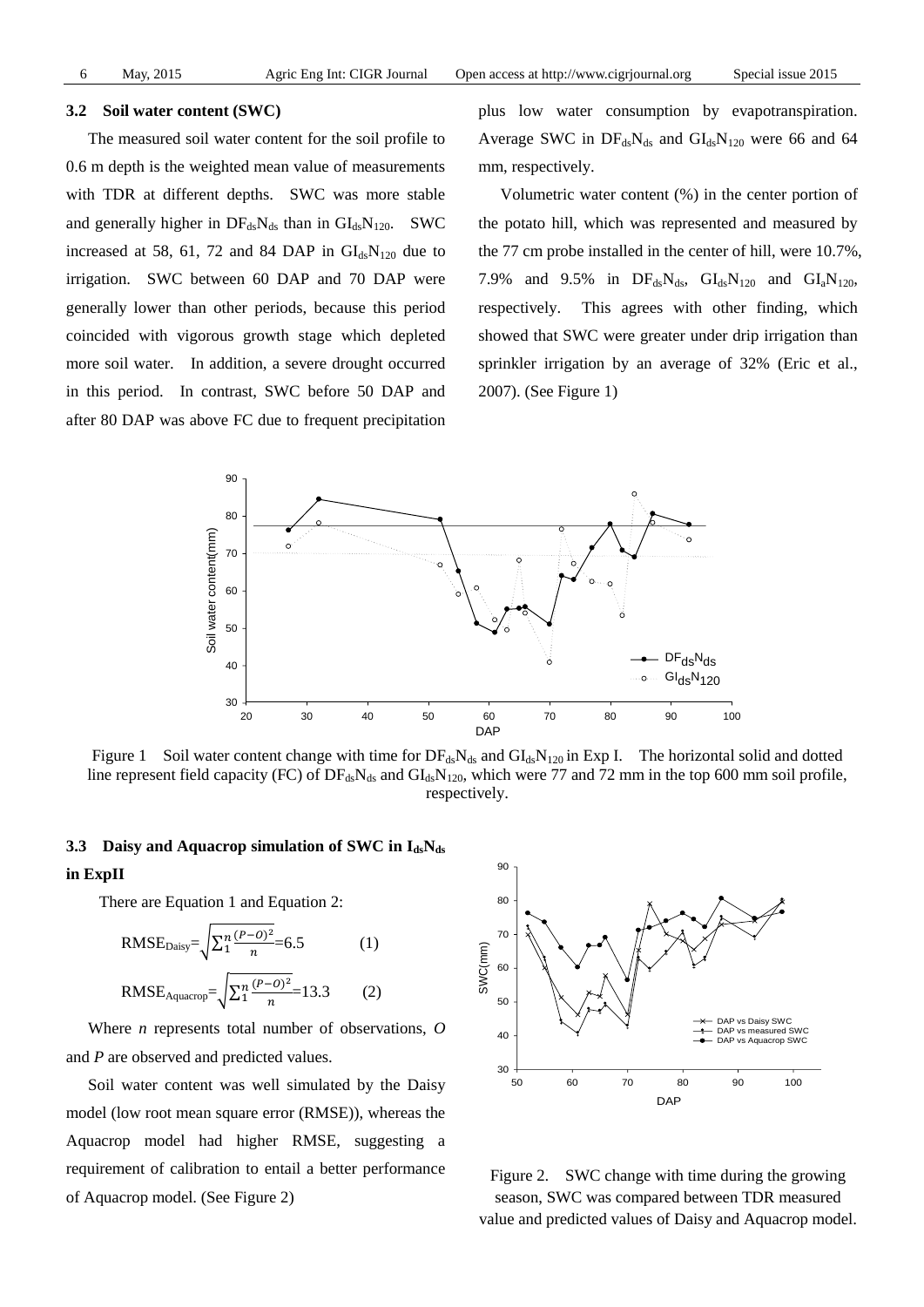#### **3.2 Soil water content (SWC)**

The measured soil water content for the soil profile to 0.6 m depth is the weighted mean value of measurements with TDR at different depths. SWC was more stable and generally higher in  $DF_{ds}N_{ds}$  than in  $GI_{ds}N_{120}$ . SWC increased at 58, 61, 72 and 84 DAP in  $\text{GI}_{ds}\text{N}_{120}$  due to irrigation. SWC between 60 DAP and 70 DAP were generally lower than other periods, because this period coincided with vigorous growth stage which depleted more soil water. In addition, a severe drought occurred in this period. In contrast, SWC before 50 DAP and after 80 DAP was above FC due to frequent precipitation plus low water consumption by evapotranspiration. Average SWC in  $DF_{ds}N_{ds}$  and  $GI_{ds}N_{120}$  were 66 and 64 mm, respectively.

Volumetric water content (%) in the center portion of the potato hill, which was represented and measured by the 77 cm probe installed in the center of hill, were 10.7%, 7.9% and 9.5% in  $DF_{ds}N_{ds}$ ,  $GI_{ds}N_{120}$  and  $GI_{a}N_{120}$ , respectively. This agrees with other finding, which showed that SWC were greater under drip irrigation than sprinkler irrigation by an average of 32% (Eric et al., 2007). (See Figure 1)



Figure 1 Soil water content change with time for  $DF_{ds}N_{ds}$  and  $GI_{ds}N_{120}$  in Exp I. The horizontal solid and dotted line represent field capacity (FC) of  $DF_{ds}N_{ds}$  and  $GI_{ds}N_{120}$ , which were 77 and 72 mm in the top 600 mm soil profile, respectively.

#### **3.3 Daisy and Aquacrop simulation of SWC in IdsNds**

### **in ExpII**

There are Equation 1 and Equation 2:

RMSE<sub>Daisy</sub>=
$$
\sqrt{\sum_{1}^{n} \frac{(P-0)^2}{n}}
$$
=6.5 (1)  
RMSE<sub>Aquacrop</sub>= $\sqrt{\sum_{1}^{n} \frac{(P-0)^2}{n}}$ =13.3 (2)

Where *n* represents total number of observations, *O* and *P* are observed and predicted values.

Soil water content was well simulated by the Daisy model (low root mean square error (RMSE)), whereas the Aquacrop model had higher RMSE, suggesting a requirement of calibration to entail a better performance of Aquacrop model. (See Figure 2)



Figure 2. SWC change with time during the growing season, SWC was compared between TDR measured value and predicted values of Daisy and Aquacrop model.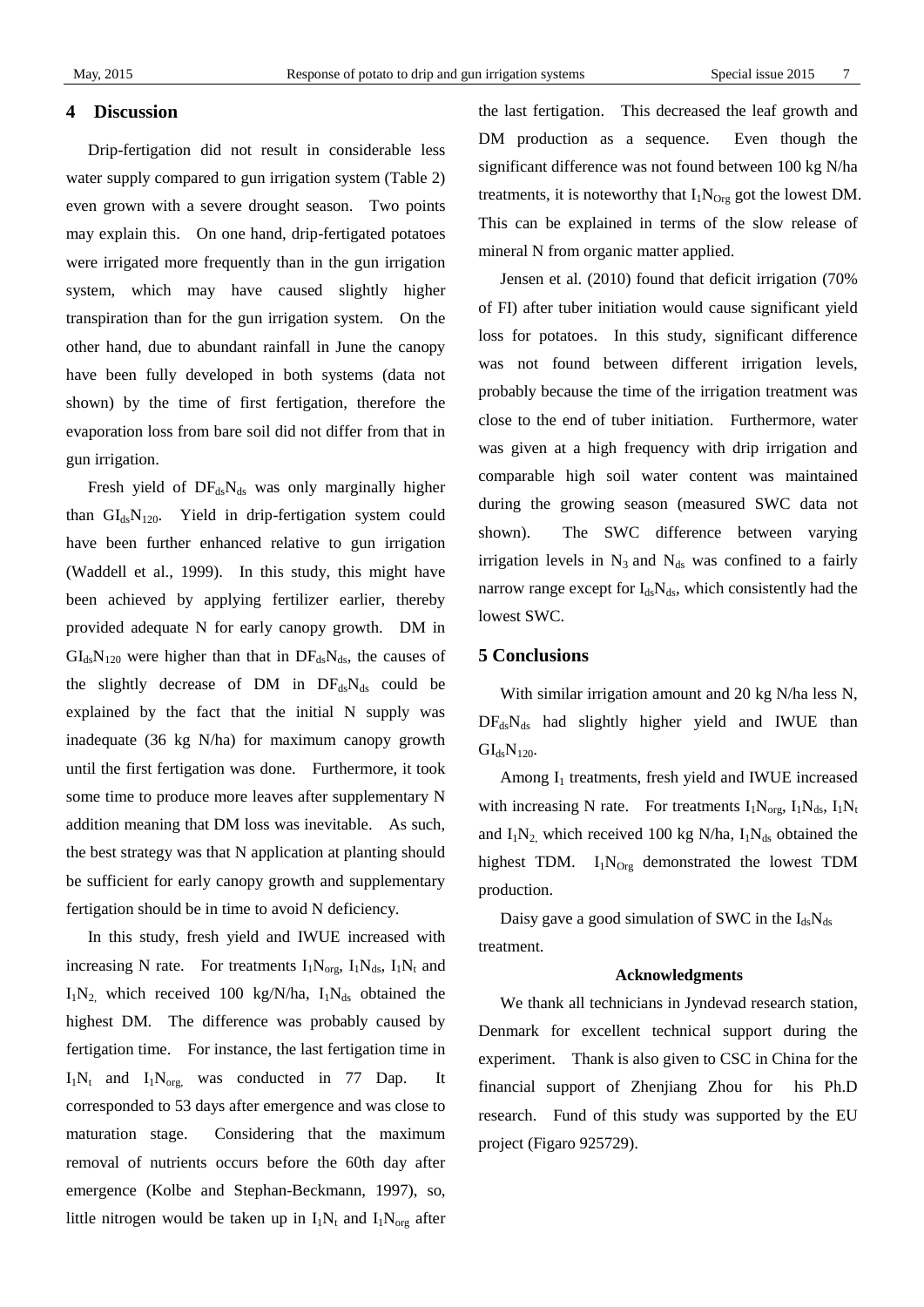## **4 Discussion**

Drip-fertigation did not result in considerable less water supply compared to gun irrigation system (Table 2) even grown with a severe drought season. Two points may explain this. On one hand, drip-fertigated potatoes were irrigated more frequently than in the gun irrigation system, which may have caused slightly higher transpiration than for the gun irrigation system. On the other hand, due to abundant rainfall in June the canopy have been fully developed in both systems (data not shown) by the time of first fertigation, therefore the evaporation loss from bare soil did not differ from that in gun irrigation.

Fresh yield of  $DF_{ds}N_{ds}$  was only marginally higher than  $GI_{ds}N_{120}$ . Yield in drip-fertigation system could have been further enhanced relative to gun irrigation (Waddell et al., 1999). In this study, this might have been achieved by applying fertilizer earlier, thereby provided adequate N for early canopy growth. DM in  $GI<sub>ds</sub>N<sub>120</sub>$  were higher than that in  $DF<sub>ds</sub>N<sub>ds</sub>$ , the causes of the slightly decrease of DM in  $DF_{ds}N_{ds}$  could be explained by the fact that the initial N supply was inadequate (36 kg N/ha) for maximum canopy growth until the first fertigation was done. Furthermore, it took some time to produce more leaves after supplementary N addition meaning that DM loss was inevitable. As such, the best strategy was that N application at planting should be sufficient for early canopy growth and supplementary fertigation should be in time to avoid N deficiency.

In this study, fresh yield and IWUE increased with increasing N rate. For treatments  $I_1N_{org}$ ,  $I_1N_{ds}$ ,  $I_1N_t$  and  $I_1N_2$  which received 100 kg/N/ha,  $I_1N_{ds}$  obtained the highest DM. The difference was probably caused by fertigation time. For instance, the last fertigation time in  $I_1N_t$  and  $I_1N_{\text{org}}$  was conducted in 77 Dap. It corresponded to 53 days after emergence and was close to maturation stage. Considering that the maximum removal of nutrients occurs before the 60th day after emergence (Kolbe and Stephan-Beckmann, 1997), so, little nitrogen would be taken up in  $I_1N_t$  and  $I_1N_{org}$  after

the last fertigation. This decreased the leaf growth and DM production as a sequence. Even though the significant difference was not found between 100 kg N/ha treatments, it is noteworthy that  $I_1N_{Org}$  got the lowest DM. This can be explained in terms of the slow release of mineral N from organic matter applied.

Jensen et al. (2010) found that deficit irrigation (70% of FI) after tuber initiation would cause significant yield loss for potatoes. In this study, significant difference was not found between different irrigation levels, probably because the time of the irrigation treatment was close to the end of tuber initiation. Furthermore, water was given at a high frequency with drip irrigation and comparable high soil water content was maintained during the growing season (measured SWC data not shown). The SWC difference between varying irrigation levels in  $N_3$  and  $N_{ds}$  was confined to a fairly narrow range except for  $I_{ds}N_{ds}$ , which consistently had the lowest SWC.

## **5 Conclusions**

With similar irrigation amount and 20 kg N/ha less N,  $DF_{ds}N_{ds}$  had slightly higher yield and IWUE than  $GI_{ds}N_{120}$ .

Among  $I_1$  treatments, fresh yield and IWUE increased with increasing N rate. For treatments  $I_1N_{org}$ ,  $I_1N_{ds}$ ,  $I_1N_t$ and  $I_1N_2$ , which received 100 kg N/ha,  $I_1N_{ds}$  obtained the highest TDM.  $I_1N_{Ore}$  demonstrated the lowest TDM production.

Daisy gave a good simulation of SWC in the  $I_{ds}N_{ds}$ treatment.

## **Acknowledgments**

We thank all technicians in Jyndevad research station, Denmark for excellent technical support during the experiment. Thank is also given to CSC in China for the financial support of Zhenjiang Zhou for his Ph.D research. Fund of this study was supported by the EU project (Figaro 925729).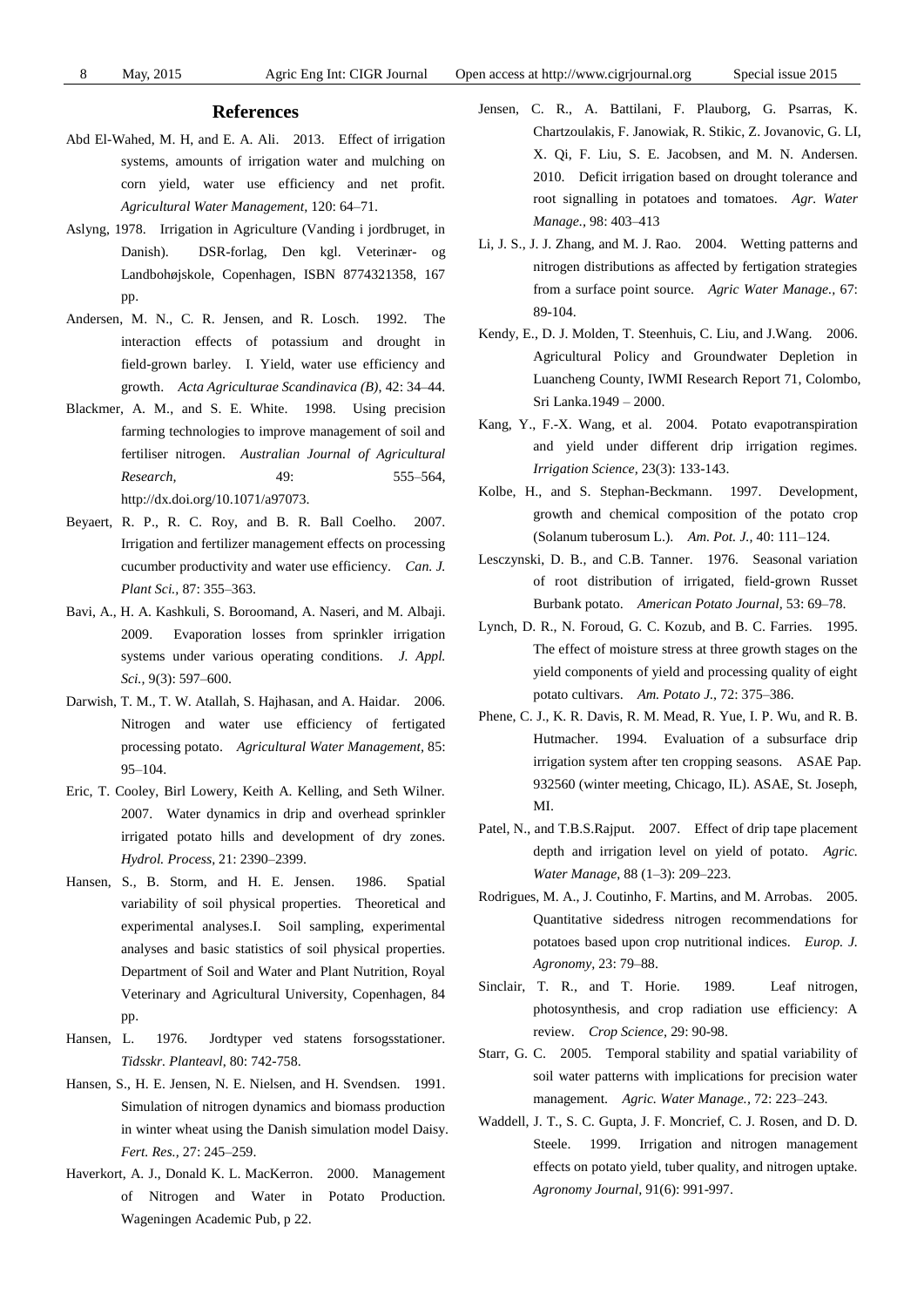#### **References**

- Abd El-Wahed, M. H, and E. A. Ali. 2013. Effect of irrigation systems, amounts of irrigation water and mulching on corn yield, water use efficiency and net profit. *Agricultural Water Management,* 120: 64–71.
- Aslyng, 1978. Irrigation in Agriculture (Vanding i jordbruget, in Danish). DSR-forlag, Den kgl. Veterinær- og Landbohøjskole, Copenhagen, ISBN 8774321358, 167 pp.
- Andersen, M. N., C. R. Jensen, and R. Losch. 1992. The interaction effects of potassium and drought in field-grown barley. I. Yield, water use efficiency and growth. *Acta Agriculturae Scandinavica (B)*, 42: 34–44.
- Blackmer, A. M., and S. E. White. 1998. Using precision farming technologies to improve management of soil and fertiliser nitrogen. *Australian Journal of Agricultural Research,* 49: 555–564, http://dx.doi.org/10.1071/a97073.
- Beyaert, R. P., R. C. Roy, and B. R. Ball Coelho. 2007. Irrigation and fertilizer management effects on processing cucumber productivity and water use efficiency. *Can. J. Plant Sci.,* 87: 355–363.
- Bavi, A., H. A. Kashkuli, S. Boroomand, A. Naseri, and M. Albaji. 2009. Evaporation losses from sprinkler irrigation systems under various operating conditions. *J. Appl. Sci.,* 9(3): 597–600.
- Darwish, T. M., T. W. Atallah, S. Hajhasan, and A. Haidar. 2006. Nitrogen and water use efficiency of fertigated processing potato. *Agricultural Water Management,* 85: 95–104.
- Eric, T. Cooley, Birl Lowery, Keith A. Kelling, and Seth Wilner. 2007. Water dynamics in drip and overhead sprinkler irrigated potato hills and development of dry zones. *Hydrol. Process,* 21: 2390–2399.
- Hansen, S., B. Storm, and H. E. Jensen. 1986. Spatial variability of soil physical properties. Theoretical and experimental analyses.I. Soil sampling, experimental analyses and basic statistics of soil physical properties. Department of Soil and Water and Plant Nutrition, Royal Veterinary and Agricultural University, Copenhagen, 84 pp.
- Hansen, L. 1976. Jordtyper ved statens forsogsstationer. *Tidsskr. Planteavl*, 80: 742-758.
- Hansen, S., H. E. Jensen, N. E. Nielsen, and H. Svendsen. 1991. Simulation of nitrogen dynamics and biomass production in winter wheat using the Danish simulation model Daisy. *Fert. Res.,* 27: 245–259.
- Haverkort, A. J., Donald K. L. MacKerron. 2000. Management of Nitrogen and Water in Potato Production. Wageningen Academic Pub, p 22.
- Jensen, C. R., A. Battilani, F. Plauborg, G. Psarras, K. Chartzoulakis, F. Janowiak, R. Stikic, Z. Jovanovic, G. LI, X. Qi, F. Liu, S. E. Jacobsen, and M. N. Andersen. 2010. Deficit irrigation based on drought tolerance and root signalling in potatoes and tomatoes. *Agr. Water Manage.,* 98: 403–413
- Li, J. S., J. J. Zhang, and M. J. Rao. 2004. Wetting patterns and nitrogen distributions as affected by fertigation strategies from a surface point source. *Agric Water Manage.,* 67: 89-104.
- Kendy, E., D. J. Molden, T. Steenhuis, C. Liu, and J.Wang. 2006. Agricultural Policy and Groundwater Depletion in Luancheng County, IWMI Research Report 71, Colombo, Sri Lanka.1949 – 2000.
- Kang, Y., F.-X. Wang, et al. 2004. Potato evapotranspiration and yield under different drip irrigation regimes. *Irrigation Science,* 23(3): 133-143.
- Kolbe, H., and S. Stephan-Beckmann. 1997. Development, growth and chemical composition of the potato crop (Solanum tuberosum L.). *Am. Pot. J.,* 40: 111–124.
- Lesczynski, D. B., and C.B. Tanner. 1976. Seasonal variation of root distribution of irrigated, field-grown Russet Burbank potato. *American Potato Journal,* 53: 69–78.
- Lynch, D. R., N. Foroud, G. C. Kozub, and B. C. Farries. 1995. The effect of moisture stress at three growth stages on the yield components of yield and processing quality of eight potato cultivars. *Am. Potato J.,* 72: 375–386.
- Phene, C. J., K. R. Davis, R. M. Mead, R. Yue, I. P. Wu, and R. B. Hutmacher. 1994. Evaluation of a subsurface drip irrigation system after ten cropping seasons. ASAE Pap. 932560 (winter meeting, Chicago, IL). ASAE, St. Joseph, MI.
- Patel, N., and T.B.S.Rajput. 2007. Effect of drip tape placement depth and irrigation level on yield of potato. *Agric. Water Manage*, 88 (1–3): 209–223.
- Rodrigues, M. A., J. Coutinho, F. Martins, and M. Arrobas. 2005. Quantitative sidedress nitrogen recommendations for potatoes based upon crop nutritional indices. *Europ. J. Agronomy,* 23: 79–88.
- Sinclair, T. R., and T. Horie. 1989. Leaf nitrogen, photosynthesis, and crop radiation use efficiency: A review. *Crop Science,* 29: 90-98.
- Starr, G. C. 2005. Temporal stability and spatial variability of soil water patterns with implications for precision water management. *Agric. Water Manage.,* 72: 223–243.
- Waddell, J. T., S. C. Gupta, J. F. Moncrief, C. J. Rosen, and D. D. Steele. 1999. Irrigation and nitrogen management effects on potato yield, tuber quality, and nitrogen uptake. *Agronomy Journal,* 91(6): 991-997.